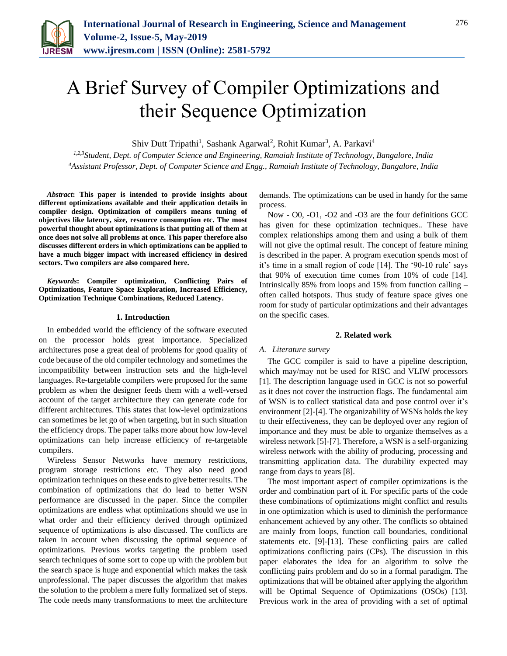

# A Brief Survey of Compiler Optimizations and their Sequence Optimization

Shiv Dutt Tripathi<sup>1</sup>, Sashank Agarwal<sup>2</sup>, Rohit Kumar<sup>3</sup>, A. Parkavi<sup>4</sup>

*1,2,3Student, Dept. of Computer Science and Engineering, Ramaiah Institute of Technology, Bangalore, India 4Assistant Professor, Dept. of Computer Science and Engg., Ramaiah Institute of Technology, Bangalore, India*

*Abstract***: This paper is intended to provide insights about different optimizations available and their application details in compiler design. Optimization of compilers means tuning of objectives like latency, size, resource consumption etc. The most powerful thought about optimizations is that putting all of them at once does not solve all problems at once. This paper therefore also discusses different orders in which optimizations can be applied to have a much bigger impact with increased efficiency in desired sectors. Two compilers are also compared here.**

*Keywords***: Compiler optimization, Conflicting Pairs of Optimizations, Feature Space Exploration, Increased Efficiency, Optimization Technique Combinations, Reduced Latency.**

#### **1. Introduction**

In embedded world the efficiency of the software executed on the processor holds great importance. Specialized architectures pose a great deal of problems for good quality of code because of the old compiler technology and sometimes the incompatibility between instruction sets and the high-level languages. Re-targetable compilers were proposed for the same problem as when the designer feeds them with a well-versed account of the target architecture they can generate code for different architectures. This states that low-level optimizations can sometimes be let go of when targeting, but in such situation the efficiency drops. The paper talks more about how low-level optimizations can help increase efficiency of re-targetable compilers.

Wireless Sensor Networks have memory restrictions, program storage restrictions etc. They also need good optimization techniques on these ends to give better results. The combination of optimizations that do lead to better WSN performance are discussed in the paper. Since the compiler optimizations are endless what optimizations should we use in what order and their efficiency derived through optimized sequence of optimizations is also discussed. The conflicts are taken in account when discussing the optimal sequence of optimizations. Previous works targeting the problem used search techniques of some sort to cope up with the problem but the search space is huge and exponential which makes the task unprofessional. The paper discusses the algorithm that makes the solution to the problem a mere fully formalized set of steps. The code needs many transformations to meet the architecture

demands. The optimizations can be used in handy for the same process.

Now - O0, -O1, -O2 and -O3 are the four definitions GCC has given for these optimization techniques.. These have complex relationships among them and using a bulk of them will not give the optimal result. The concept of feature mining is described in the paper. A program execution spends most of it's time in a small region of code [14]. The '90-10 rule' says that 90% of execution time comes from 10% of code [14]. Intrinsically 85% from loops and 15% from function calling – often called hotspots. Thus study of feature space gives one room for study of particular optimizations and their advantages on the specific cases.

#### **2. Related work**

#### *A. Literature survey*

The GCC compiler is said to have a pipeline description, which may/may not be used for RISC and VLIW processors [1]. The description language used in GCC is not so powerful as it does not cover the instruction flags. The fundamental aim of WSN is to collect statistical data and pose control over it's environment [2]-[4]. The organizability of WSNs holds the key to their effectiveness, they can be deployed over any region of importance and they must be able to organize themselves as a wireless network [5]-[7]. Therefore, a WSN is a self-organizing wireless network with the ability of producing, processing and transmitting application data. The durability expected may range from days to years [8].

The most important aspect of compiler optimizations is the order and combination part of it. For specific parts of the code these combinations of optimizations might conflict and results in one optimization which is used to diminish the performance enhancement achieved by any other. The conflicts so obtained are mainly from loops, function call boundaries, conditional statements etc. [9]-[13]. These conflicting pairs are called optimizations conflicting pairs (CPs). The discussion in this paper elaborates the idea for an algorithm to solve the conflicting pairs problem and do so in a formal paradigm. The optimizations that will be obtained after applying the algorithm will be Optimal Sequence of Optimizations (OSOs) [13]. Previous work in the area of providing with a set of optimal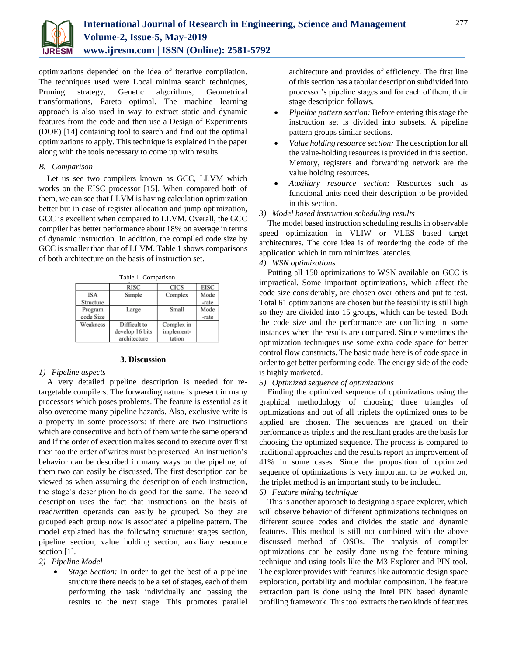

optimizations depended on the idea of iterative compilation. The techniques used were Local minima search techniques, Pruning strategy, Genetic algorithms, Geometrical transformations, Pareto optimal. The machine learning approach is also used in way to extract static and dynamic features from the code and then use a Design of Experiments (DOE) [14] containing tool to search and find out the optimal optimizations to apply. This technique is explained in the paper along with the tools necessary to come up with results.

## *B. Comparison*

Let us see two compilers known as GCC, LLVM which works on the EISC processor [15]. When compared both of them, we can see that LLVM is having calculation optimization better but in case of register allocation and jump optimization, GCC is excellent when compared to LLVM. Overall, the GCC compiler has better performance about 18% on average in terms of dynamic instruction. In addition, the compiled code size by GCC is smaller than that of LLVM. Table 1 shows comparisons of both architecture on the basis of instruction set.

Table 1. Comparison

|            | <b>RISC</b>     | <b>CICS</b> | <b>EISC</b> |
|------------|-----------------|-------------|-------------|
| <b>ISA</b> | Simple          | Complex     | Mode        |
| Structure  |                 |             | -rate       |
| Program    | Large           | Small       | Mode        |
| code Size  |                 |             | -rate       |
| Weakness   | Difficult to    | Complex in  |             |
|            | develop 16 bits | implement-  |             |
|            | architecture    | tation      |             |

## **3. Discussion**

### *1) Pipeline aspects*

A very detailed pipeline description is needed for retargetable compilers. The forwarding nature is present in many processors which poses problems. The feature is essential as it also overcome many pipeline hazards. Also, exclusive write is a property in some processors: if there are two instructions which are consecutive and both of them write the same operand and if the order of execution makes second to execute over first then too the order of writes must be preserved. An instruction's behavior can be described in many ways on the pipeline, of them two can easily be discussed. The first description can be viewed as when assuming the description of each instruction, the stage's description holds good for the same. The second description uses the fact that instructions on the basis of read/written operands can easily be grouped. So they are grouped each group now is associated a pipeline pattern. The model explained has the following structure: stages section, pipeline section, value holding section, auxiliary resource section [1].

## *2) Pipeline Model*

 *Stage Section:* In order to get the best of a pipeline structure there needs to be a set of stages, each of them performing the task individually and passing the results to the next stage. This promotes parallel architecture and provides of efficiency. The first line of this section has a tabular description subdivided into processor's pipeline stages and for each of them, their stage description follows.

- *Pipeline pattern section:* Before entering this stage the instruction set is divided into subsets. A pipeline pattern groups similar sections.
- *Value holding resource section:* The description for all the value-holding resources is provided in this section. Memory, registers and forwarding network are the value holding resources.
- *Auxiliary resource section:* Resources such as functional units need their description to be provided in this section.

### *3) Model based instruction scheduling results*

The model based instruction scheduling results in observable speed optimization in VLIW or VLES based target architectures. The core idea is of reordering the code of the application which in turn minimizes latencies.

## *4) WSN optimizations*

Putting all 150 optimizations to WSN available on GCC is impractical. Some important optimizations, which affect the code size considerably, are chosen over others and put to test. Total 61 optimizations are chosen but the feasibility is still high so they are divided into 15 groups, which can be tested. Both the code size and the performance are conflicting in some instances when the results are compared. Since sometimes the optimization techniques use some extra code space for better control flow constructs. The basic trade here is of code space in order to get better performing code. The energy side of the code is highly marketed.

# *5) Optimized sequence of optimizations*

Finding the optimized sequence of optimizations using the graphical methodology of choosing three triangles of optimizations and out of all triplets the optimized ones to be applied are chosen. The sequences are graded on their performance as triplets and the resultant grades are the basis for choosing the optimized sequence. The process is compared to traditional approaches and the results report an improvement of 41% in some cases. Since the proposition of optimized sequence of optimizations is very important to be worked on, the triplet method is an important study to be included.

## *6) Feature mining technique*

This is another approach to designing a space explorer, which will observe behavior of different optimizations techniques on different source codes and divides the static and dynamic features. This method is still not combined with the above discussed method of OSOs. The analysis of compiler optimizations can be easily done using the feature mining technique and using tools like the M3 Explorer and PIN tool. The explorer provides with features like automatic design space exploration, portability and modular composition. The feature extraction part is done using the Intel PIN based dynamic profiling framework. This tool extracts the two kinds of features